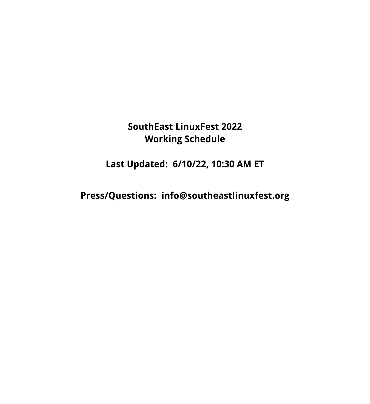# **SouthEast LinuxFest 2022 Working Schedule**

**Last Updated: 6/10/22, 10:30 AM ET**

**Press/Questions: info@southeastlinuxfest.org**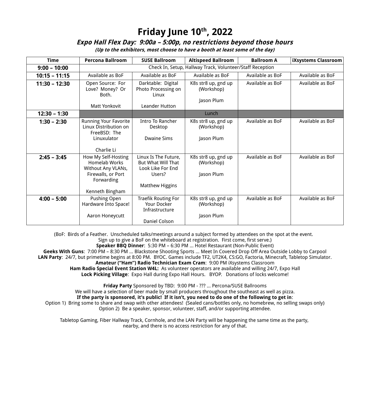### **Friday June 10th, 2022**

#### **Expo Hall Flex Day: 9:00a – 5:00p, no restrictions beyond those hours**

**(Up to the exhibitors, most choose to have a booth at least some of the day)**

| <b>Time</b>     | <b>Percona Ballroom</b>                                                                                                  | <b>SUSE Ballroom</b>                                                                                       | <b>Altispeed Ballroom</b>                       | <b>Ballroom A</b> | iXsystems Classroom |  |  |
|-----------------|--------------------------------------------------------------------------------------------------------------------------|------------------------------------------------------------------------------------------------------------|-------------------------------------------------|-------------------|---------------------|--|--|
| $9:00 - 10:00$  | Check In, Setup, Hallway Track, Volunteer/Staff Reception                                                                |                                                                                                            |                                                 |                   |                     |  |  |
| $10:15 - 11:15$ | Available as BoF                                                                                                         | Available as BoF                                                                                           | Available as BoF                                | Available as BoF  | Available as BoF    |  |  |
| $11:30 - 12:30$ | Open Source: For<br>Love? Money? Or<br>Both.<br><b>Matt Yonkovit</b>                                                     | Darktable: Digital<br>Photo Processing on<br>Linux<br>Leander Hutton                                       | K8s str8 up, gnd up<br>(Workshop)<br>Jason Plum | Available as BoF  | Available as BoF    |  |  |
| $12:30 - 1:30$  |                                                                                                                          |                                                                                                            | Lunch                                           |                   |                     |  |  |
| $1:30 - 2:30$   | <b>Running Your Favorite</b><br>Linux Distribution on<br>FreeBSD: The<br>Linuxulator<br>Charlie Li                       | Intro To Rancher<br>Desktop<br><b>Dwaine Sims</b>                                                          | K8s str8 up, gnd up<br>(Workshop)<br>Jason Plum | Available as BoF  | Available as BoF    |  |  |
| $2:45 - 3:45$   | How My Self-Hosting<br><b>Homelab Works</b><br>Without Any VLANs,<br>Firewalls, or Port<br>Forwarding<br>Kenneth Bingham | Linux Is The Future,<br><b>But What Will That</b><br>Look Like For End<br>Users?<br><b>Matthew Higgins</b> | K8s str8 up, gnd up<br>(Workshop)<br>Jason Plum | Available as BoF  | Available as BoF    |  |  |
| $4:00 - 5:00$   | Pushing Open<br>Hardware Into Space!<br>Aaron Honeycutt                                                                  | <b>Traefik Routing For</b><br>Your Docker<br>Infrastructure<br>Daniel Colson                               | K8s str8 up, gnd up<br>(Workshop)<br>Jason Plum | Available as BoF  | Available as BoF    |  |  |

(BoF: Birds of a Feather. Unscheduled talks/meetings around a subject formed by attendees on the spot at the event. Sign up to give a BoF on the whiteboard at registration. First come, first serve.) **Speaker BBQ Dinner**: 5:30 PM – 6:30 PM … Hotel Restaurant (Non-Public Event) **Geeks With Guns**: 7:00 PM – 8:30 PM … Blackstone Shooting Sports … Meet In Covered Drop Off Area Outside Lobby to Carpool **LAN Party**: 24/7, but primetime begins at 8:00 PM. BYOC. Games include TF2, UT2K4, CS:GO, Factoria, Minecraft, Tabletop Simulator. **Amateur ("Ham") Radio Technician Exam Cram**: 9:00 PM iXsystems Classroom **Ham Radio Special Event Station W4L:** As volunteer operators are available and willing 24/7, Expo Hall **Lock Picking Village**: Expo Hall during Expo Hall Hours. BYOP. Donations of locks welcome!

**Friday Party** Sponsored by TBD: 9:00 PM - ??? … Percona/SUSE Ballrooms We will have a selection of beer made by small producers throughout the southeast as well as pizza. **If the party is sponsored, it's public! If it isn't, you need to do one of the following to get in**: Option 1) Bring some to share and swap with other attendees! (Sealed cans/bottles only, no homebrew, no selling swaps only) Option 2) Be a speaker, sponsor, volunteer, staff, and/or supporting attendee.

Tabletop Gaming, Fiber Hallway Track, Cornhole, and the LAN Party will be happening the same time as the party, nearby, and there is no access restriction for any of that.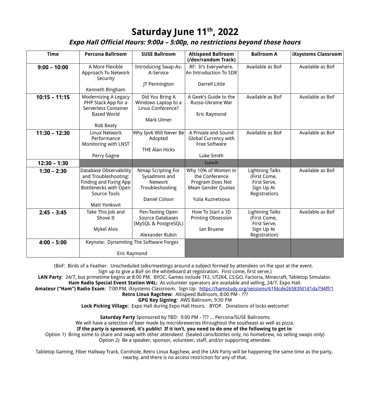### **Saturday June 11th, 2022**

#### **Expo Hall Official Hours: 9:00a – 5:00p, no restrictions beyond those hours**

| <b>Time</b>     | <b>Percona Ballroom</b>                                                                                                                                        | <b>SUSE Ballroom</b>                                                                      | <b>Altispeed Ballroom</b><br>(/dev/random Track)                                                    | <b>Ballroom A</b>                                                                     | iXsystems Classroom |
|-----------------|----------------------------------------------------------------------------------------------------------------------------------------------------------------|-------------------------------------------------------------------------------------------|-----------------------------------------------------------------------------------------------------|---------------------------------------------------------------------------------------|---------------------|
| $9:00 - 10:00$  | A More Flexible<br>Approach To Network<br>Security<br>Kenneth Bingham                                                                                          | <b>Introducing Swap-As-</b><br>A-Service<br>JT Pennington                                 | RF: It's Everywhere.<br>An Introduction To SDR<br><b>Darrell Little</b>                             | Available as BoF                                                                      | Available as BoF    |
| $10:15 - 11:15$ | <b>Modernizing A Legacy</b><br>PHP Stack App for a<br>Serverless Container<br><b>Based World</b><br>Rob Beaty                                                  | Did You Bring A<br>Windows Laptop to a<br>Linux Conference?<br>Mark Ulmer                 | A Geek's Guide to the<br>Russo-Ukraine War<br>Eric Raymond                                          | Available as BoF                                                                      | Available as BoF    |
| $11:30 - 12:30$ | Linux Network<br>Performance<br>Monitoring with LNST<br>Perry Gagne                                                                                            | Why Ipv6 Will Never Be<br>Adopted<br><b>THE Alan Hicks</b>                                | A Private and Sound<br>Global Currency with<br><b>Free Software</b><br>Luke Smith                   | Available as BoF                                                                      | Available as BoF    |
| $12:30 - 1:30$  |                                                                                                                                                                |                                                                                           | Lunch                                                                                               |                                                                                       |                     |
| $1:30 - 2:30$   | <b>Database Observability</b><br>and Troubleshooting:<br>Finding and Fixing App<br><b>Bottlenecks with Open</b><br><b>Source Tools</b><br><b>Matt Yonkovit</b> | Nmap Scripting For<br>Sysadmins and<br><b>Network</b><br>Troubleshooting<br>Daniel Colson | Why 10% of Women in<br>the Conference<br>Program Does Not<br>Mean Gender Quotas<br>Yulia Kuznetsova | <b>Lightning Talks</b><br>(First Come,<br>First Serve,<br>Sign Up At<br>Registration) | Available as BoF    |
| $2:45 - 3:45$   | Take This Job and<br>Shove It<br>Mykel Alvis                                                                                                                   | Pen-Testing Open<br><b>Source Databases</b><br>(MySQL & PostgreSQL)<br>Alexander Rubin    | How To Start a 3D<br><b>Printing Obsession</b><br>Ian Bruene                                        | <b>Lightning Talks</b><br>(First Come,<br>First Serve,<br>Sign Up At<br>Registration) | Available as BoF    |
| $4:00 - 5:00$   | Keynote: Dynamiting The Software Forges<br>Eric Raymond                                                                                                        |                                                                                           |                                                                                                     |                                                                                       |                     |

(BoF: Birds of a Feather. Unscheduled talks/meetings around a subject formed by attendees on the spot at the event.

Sign up to give a BoF on the whiteboard at registration. First come, first serve.)

**LAN Party**: 24/7, but primetime begins at 8:00 PM. BYOC. Games include TF2, UT2K4, CS:GO, Factoria, Minecraft, Tabletop Simulator. **Ham Radio Special Event Station W4L:** As volunteer operators are available and willing, 24/7. Expo Hall.

**Amateur ("Ham") Radio Exam**: 7:00 PM, iXsystems Classroom. Sign Up: <https://hamstudy.org/sessions/61fdcde26583fd1d1da794ff/1>

**Retro Linux Ragchew**: Altispeed Ballroom, 8:00 PM - ???

**GPG Key Signing**: AWS Ballroom, 9:30 PM

**Lock Picking Village**: Expo Hall during Expo Hall Hours. BYOP. Donations of locks welcome!

**Saturday Party** Sponsored by TBD: 9:00 PM - ??? … Percona/SUSE Ballrooms

We will have a selection of beer made by microbreweries throughout the southeast as well as pizza.

**If the party is sponsored, it's public! If it isn't, you need to do one of the following to get in**:

Option 1) Bring some to share and swap with other attendees! (Sealed cans/bottles only, no homebrew, no selling swaps only) Option 2) Be a speaker, sponsor, volunteer, staff, and/or supporting attendee.

Tabletop Gaming, Fiber Hallway Track, Cornhole, Retro Linux Ragchew, and the LAN Party will be happening the same time as the party, nearby, and there is no access restriction for any of that.